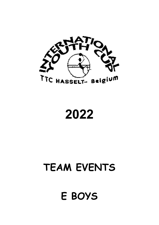

2022

# TEAM EVENTS

# E BOYS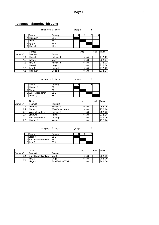# 1st stage : Saturday 4th June

|              | category : E - boys |         | group: |  |  |
|--------------|---------------------|---------|--------|--|--|
| Team         |                     | Country |        |  |  |
| Hainaut 1    |                     | BEL     |        |  |  |
| Liège 2<br>◠ |                     | BEL     |        |  |  |
| ◠            |                     | FRA     |        |  |  |
| Hasselt      |                     | BEI     |        |  |  |

|          | Games     |           | time               | Hall | Table   |
|----------|-----------|-----------|--------------------|------|---------|
| IGame N° | Team#1    | Team#2    |                    |      |         |
| 1.1      | Hasselt   | Hainaut 1 | 10 <sub>h</sub> 00 | ш    | 21 & 22 |
| 1.2      | Liège 2   | lgny 1    | 10 <sub>h</sub> 00 | Ш    | 23 & 24 |
| 1.3      | lgny 1    | Hainaut 1 | 11h30              | Ш    | 21 & 22 |
| 1.4      | Hasselt   | Liège 2   | 11h30              | Ш    | 23 & 24 |
| 1.5      | Igny 1    | Hasselt   | 13h00              | Ш    | 21 & 22 |
| 1.6      | Hainaut 1 | Liège 2   | 13h00              | ١I   | 23 & 24 |

category : E - boys group : 2

| Team              | Countrv    |  |  |
|-------------------|------------|--|--|
| 1 Hainaut 2       | BEL        |  |  |
| 2 Namur           | <b>BEL</b> |  |  |
| 3 West-Vlaanderen | <b>BEL</b> |  |  |
| Limburg           | ۹F)        |  |  |

|          | Games           |                 | time               | Hall | Table     |
|----------|-----------------|-----------------|--------------------|------|-----------|
| lGame N° | Team#1          | Team#2          |                    |      |           |
| 2.1      | Limburg         | Hainaut 2       | 10 <sub>h</sub> 00 |      | l25 & 26l |
| 2.2      | Namur           | West-Vlaanderen | 10 <sub>h</sub> 00 |      | 27 & 28   |
| 2.3      | West-Vlaanderen | Hainaut 2       | 11h30              |      | 25 & 26   |
| 2.4      | Limburg         | Namur           | 11h30              |      | 27 & 28   |
| 2.5      | West-Vlaanderen | Limburg         | 13h00              |      | 25 & 26   |
| 2.6      | Hainaut 2       | Namur           | 13h00              |      | 27 & 28   |

| category : $E$ - boys |  |  |  |
|-----------------------|--|--|--|
|-----------------------|--|--|--|

 $group: 3$ 

| Геаm                  | Country |  |  |
|-----------------------|---------|--|--|
| 'ILiège 1             | BEL     |  |  |
| 2 Brux/Brabant Wallon | 'BEL    |  |  |
| 3 ligny 2             | ™RA     |  |  |

|          | Games              |                    | time              | Hall | Table     |
|----------|--------------------|--------------------|-------------------|------|-----------|
| IGame N° | <sup>-</sup> eam#1 | ⊺eam#2             |                   |      |           |
|          | Brux/BrabantWallon | lany 2             | 10 <sub>h00</sub> |      | l29 & 30l |
| 3.2      | lanv 2             | Lieae <sup>1</sup> | 11h30             | Ш    | I29 & 30  |
| 3.3      | Liege <sup>1</sup> | Brux/BrabantWallon | 13h00             | Ш    | l29 & 30l |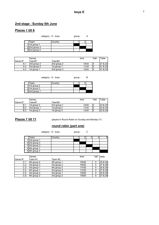#### 2nd stage : Sunday 5th June

# Places 1 till 6

category : E - boys group : A

| group |  |
|-------|--|
|       |  |

| Team             | ำ∿untrv |  |  |
|------------------|---------|--|--|
| 1 1st group 1    |         |  |  |
| $2$  2nd group 3 |         |  |  |
| 3 2nd group 2    |         |  |  |

|          | Games       |             | time              | Hall | Table              |
|----------|-------------|-------------|-------------------|------|--------------------|
| IGame N° | Team#1      | ™eam#2      |                   |      |                    |
| A.1      | 2nd group 3 | 2nd group 2 | 10 <sub>h00</sub> |      | <b>21 &amp; 22</b> |
| A.2      | 2nd group 2 | 1st group 1 | 11h30             |      | <b>21 &amp; 22</b> |
| A.3      | 1st group 1 | 2nd group 3 | 13h00             |      | 121 & 221          |

category : E - boys group : B

| Team            | Countrv |  |  |
|-----------------|---------|--|--|
| 1 1st group 2   |         |  |  |
| $2$ 1st group 3 |         |  |  |
| 32nd group 1    |         |  |  |

|            | Games       |             | time  | Hall | Table              |
|------------|-------------|-------------|-------|------|--------------------|
| IGame N°   | ⊤eam#1      | ™eam#2      |       |      |                    |
| B.1        | 1st group 3 | 2nd group 1 | 10h00 | Ш    | I23 & 24I          |
| B.2        | 2nd group 1 | 1st group 2 | 11h30 | Ш    | 123 & 24           |
| <b>B.3</b> | 1st group 2 | 1st group 3 | 13h00 |      | <b>23 &amp; 24</b> |

Places 7 till 11 (played in Round Robin on Sunday and Monday !!!)

### round robin (part one)

category : E - boys group : C

| Team          | Country |  |  |  |
|---------------|---------|--|--|--|
| 1 3rd group 1 |         |  |  |  |
| 2 3rd group 2 |         |  |  |  |
| 3 3rd group 3 |         |  |  |  |
| 4 4th group 1 |         |  |  |  |
| 5 4th group 2 |         |  |  |  |

|          | Games       |             | time               | hall | table   |
|----------|-------------|-------------|--------------------|------|---------|
| lGame N° | Team #1     | Team #2     |                    |      |         |
| C.1      | 4th group 2 | 4th group 1 | 10 <sub>h</sub> 00 |      | 25 & 26 |
| C.2      | 3rd group 3 | 3rd group 2 | 10 <sub>h</sub> 00 | II   | 27 & 28 |
| C.3      | 3rd group 1 | 4th group 2 | 11h30              |      | 25 & 26 |
| C.4      | 4th group 1 | 3rd group 3 | 11h30              |      | 27 & 28 |
| C.5      | 3rd group 2 | 3rd group 1 | 13h00              |      | 25 & 26 |
| C.6      | 4th group 2 | 3rd group 3 | 13h00              |      | 27 & 28 |